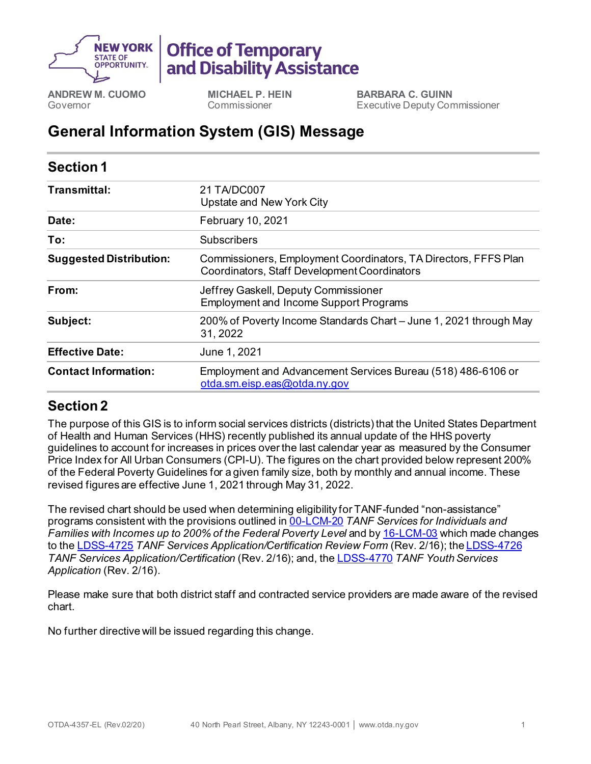

## **Office of Temporary** and Disability Assistance

**ANDREW M. CUOMO** Governor

**MICHAEL P. HEIN** Commissioner

**BARBARA C. GUINN** Executive Deputy Commissioner

## **General Information System (GIS) Message**

| <b>Section 1</b>               |                                                                                                                 |
|--------------------------------|-----------------------------------------------------------------------------------------------------------------|
| Transmittal:                   | 21 TA/DC007<br>Upstate and New York City                                                                        |
| Date:                          | February 10, 2021                                                                                               |
| To:                            | Subscribers                                                                                                     |
| <b>Suggested Distribution:</b> | Commissioners, Employment Coordinators, TA Directors, FFFS Plan<br>Coordinators, Staff Development Coordinators |
| From:                          | Jeffrey Gaskell, Deputy Commissioner<br><b>Employment and Income Support Programs</b>                           |
| Subject:                       | 200% of Poverty Income Standards Chart - June 1, 2021 through May<br>31, 2022                                   |
| <b>Effective Date:</b>         | June 1, 2021                                                                                                    |
| <b>Contact Information:</b>    | Employment and Advancement Services Bureau (518) 486-6106 or<br>otda.sm.eisp.eas@otda.ny.gov                    |

## **Section 2**

The purpose of this GIS is to inform social services districts (districts) that the United States Department of Health and Human Services (HHS) recently published its annual update of the HHS poverty guidelines to account for increases in prices over the last calendar year as measured by the Consumer Price Index for All Urban Consumers (CPI-U). The figures on the chart provided below represent 200% of the Federal Poverty Guidelines for a given family size, both by monthly and annual income. These revised figures are effective June 1, 2021 through May 31, 2022.

The revised chart should be used when determining eligibility for TANF-funded "non-assistance" programs consistent with the provisions outlined in 00-[LCM](http://otda.ny.gov/policy/directives/2000/LCM/00_LCM-20.pdf)-20 *TANF Services for Individuals and Families with Incomes up to 200% of the Federal Poverty Level* and by 16-[LCM](http://otda.ny.gov/policy/directives/2016/LCM/16-LCM-03.pdf)-03 which made changes to the [LDSS-4725](http://otda.state.nyenet/ldss_eforms/eforms/4725.pdf) TANF Services Application/Certification Review Form (Rev. 2/16); the [LDSS-](http://otda.state.nyenet/ldss_eforms/eforms/4726.pdf)4726 *TANF Services Application/Certification* (Rev. 2/16); and, th[e LDSS-4770](http://otda.ny.gov/programs/applications/4770.pdf) *TANF Youth Services Application* (Rev. 2/16).

Please make sure that both district staff and contracted service providers are made aware of the revised chart.

No further directive will be issued regarding this change.